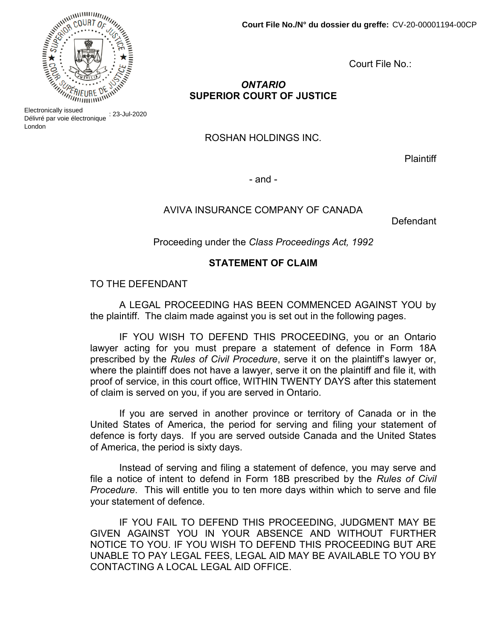

# ONTARIO SUPERIOR COURT OF JUSTICE

ROSHAN HOLDINGS INC.

**Plaintiff** 

- and -

### AVIVA INSURANCE COMPANY OF CANADA

Defendant

Proceeding under the Class Proceedings Act, 1992

### STATEMENT OF CLAIM

TO THE DEFENDANT

A LEGAL PROCEEDING HAS BEEN COMMENCED AGAINST YOU by the plaintiff. The claim made against you is set out in the following pages.

IF YOU WISH TO DEFEND THIS PROCEEDING, you or an Ontario lawyer acting for you must prepare a statement of defence in Form 18A prescribed by the Rules of Civil Procedure, serve it on the plaintiff's lawyer or, where the plaintiff does not have a lawyer, serve it on the plaintiff and file it, with proof of service, in this court office, WITHIN TWENTY DAYS after this statement of claim is served on you, if you are served in Ontario.

If you are served in another province or territory of Canada or in the United States of America, the period for serving and filing your statement of defence is forty days. If you are served outside Canada and the United States of America, the period is sixty days.

Instead of serving and filing a statement of defence, you may serve and file a notice of intent to defend in Form 18B prescribed by the Rules of Civil Procedure. This will entitle you to ten more days within which to serve and file your statement of defence.

IF YOU FAIL TO DEFEND THIS PROCEEDING, JUDGMENT MAY BE GIVEN AGAINST YOU IN YOUR ABSENCE AND WITHOUT FURTHER NOTICE TO YOU. IF YOU WISH TO DEFEND THIS PROCEEDING BUT ARE UNABLE TO PAY LEGAL FEES, LEGAL AID MAY BE AVAILABLE TO YOU BY CONTACTING A LOCAL LEGAL AID OFFICE.



Electronically issued<br>Délivré par voie électronique ∶ 23-Jul-2020 Electronically issued London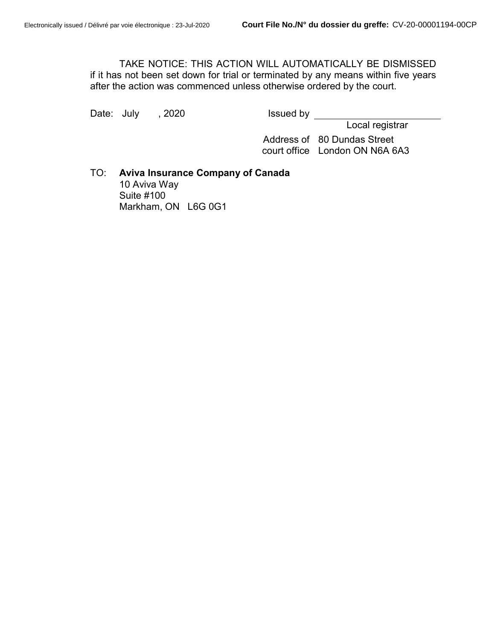TAKE NOTICE: THIS ACTION WILL AUTOMATICALLY BE DISMISSED if it has not been set down for trial or terminated by any means within five years after the action was commenced unless otherwise ordered by the court.

Date: July , 2020 **Issued by** 

Local registrar

 Address of 80 Dundas Street court office London ON N6A 6A3

TO: Aviva Insurance Company of Canada 10 Aviva Way Suite #100 Markham, ON L6G 0G1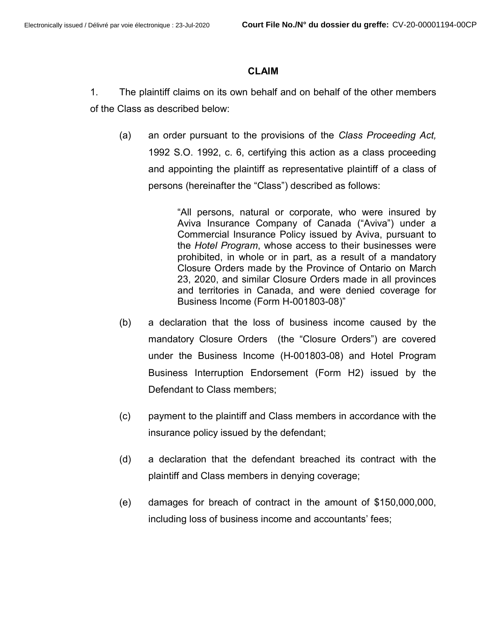#### CLAIM

1. The plaintiff claims on its own behalf and on behalf of the other members of the Class as described below:

(a) an order pursuant to the provisions of the Class Proceeding Act, 1992 S.O. 1992, c. 6, certifying this action as a class proceeding and appointing the plaintiff as representative plaintiff of a class of persons (hereinafter the "Class") described as follows:

> "All persons, natural or corporate, who were insured by Aviva Insurance Company of Canada ("Aviva") under a Commercial Insurance Policy issued by Aviva, pursuant to the Hotel Program, whose access to their businesses were prohibited, in whole or in part, as a result of a mandatory Closure Orders made by the Province of Ontario on March 23, 2020, and similar Closure Orders made in all provinces and territories in Canada, and were denied coverage for Business Income (Form H-001803-08)"

- (b) a declaration that the loss of business income caused by the mandatory Closure Orders (the "Closure Orders") are covered under the Business Income (H-001803-08) and Hotel Program Business Interruption Endorsement (Form H2) issued by the Defendant to Class members;
- (c) payment to the plaintiff and Class members in accordance with the insurance policy issued by the defendant;
- (d) a declaration that the defendant breached its contract with the plaintiff and Class members in denying coverage;
- (e) damages for breach of contract in the amount of \$150,000,000, including loss of business income and accountants' fees;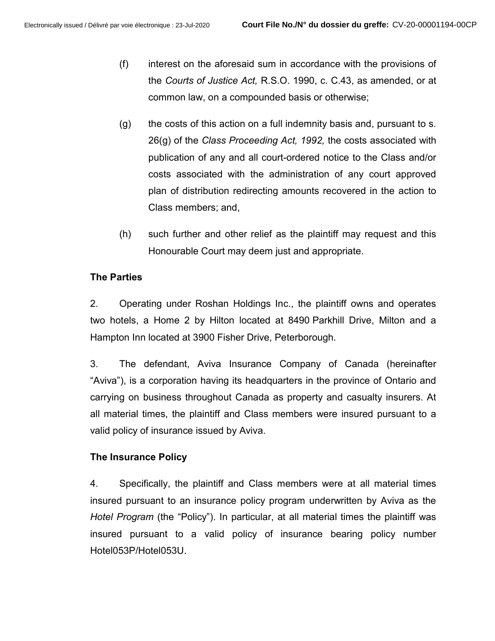- (f) interest on the aforesaid sum in accordance with the provisions of the Courts of Justice Act, R.S.O. 1990, c. C.43, as amended, or at common law, on a compounded basis or otherwise;
- (g) the costs of this action on a full indemnity basis and, pursuant to s. 26(g) of the Class Proceeding Act, 1992, the costs associated with publication of any and all court-ordered notice to the Class and/or costs associated with the administration of any court approved plan of distribution redirecting amounts recovered in the action to Class members; and,
- (h) such further and other relief as the plaintiff may request and this Honourable Court may deem just and appropriate.

# The Parties

2. Operating under Roshan Holdings Inc., the plaintiff owns and operates two hotels, a Home 2 by Hilton located at 8490 Parkhill Drive, Milton and a Hampton Inn located at 3900 Fisher Drive, Peterborough.

3. The defendant, Aviva Insurance Company of Canada (hereinafter "Aviva"), is a corporation having its headquarters in the province of Ontario and carrying on business throughout Canada as property and casualty insurers. At all material times, the plaintiff and Class members were insured pursuant to a valid policy of insurance issued by Aviva.

# The Insurance Policy

4. Specifically, the plaintiff and Class members were at all material times insured pursuant to an insurance policy program underwritten by Aviva as the Hotel Program (the "Policy"). In particular, at all material times the plaintiff was insured pursuant to a valid policy of insurance bearing policy number Hotel053P/Hotel053U.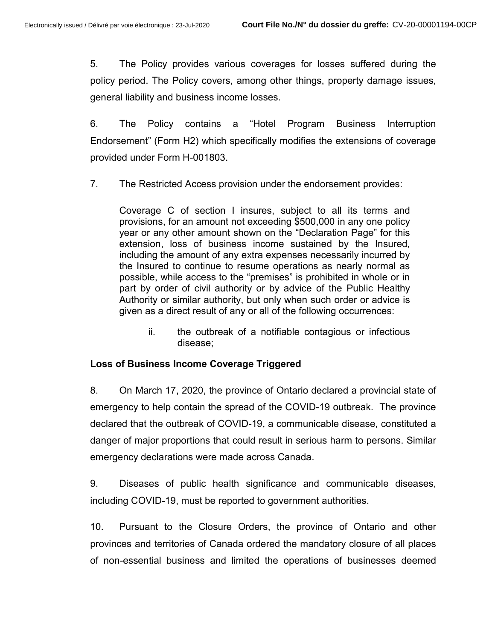5. The Policy provides various coverages for losses suffered during the policy period. The Policy covers, among other things, property damage issues, general liability and business income losses.

6. The Policy contains a "Hotel Program Business Interruption Endorsement" (Form H2) which specifically modifies the extensions of coverage provided under Form H-001803.

7. The Restricted Access provision under the endorsement provides:

Coverage C of section I insures, subject to all its terms and provisions, for an amount not exceeding \$500,000 in any one policy year or any other amount shown on the "Declaration Page" for this extension, loss of business income sustained by the Insured, including the amount of any extra expenses necessarily incurred by the Insured to continue to resume operations as nearly normal as possible, while access to the "premises" is prohibited in whole or in part by order of civil authority or by advice of the Public Healthy Authority or similar authority, but only when such order or advice is given as a direct result of any or all of the following occurrences:

ii. the outbreak of a notifiable contagious or infectious disease;

### Loss of Business Income Coverage Triggered

8. On March 17, 2020, the province of Ontario declared a provincial state of emergency to help contain the spread of the COVID-19 outbreak. The province declared that the outbreak of COVID-19, a communicable disease, constituted a danger of major proportions that could result in serious harm to persons. Similar emergency declarations were made across Canada.

9. Diseases of public health significance and communicable diseases, including COVID-19, must be reported to government authorities.

10. Pursuant to the Closure Orders, the province of Ontario and other provinces and territories of Canada ordered the mandatory closure of all places of non-essential business and limited the operations of businesses deemed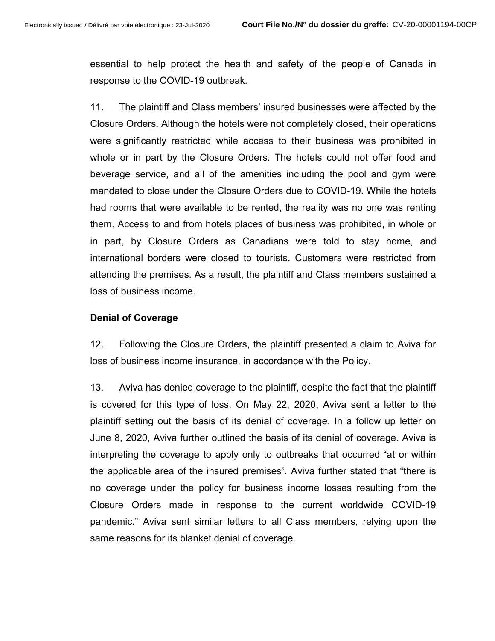essential to help protect the health and safety of the people of Canada in response to the COVID-19 outbreak.

11. The plaintiff and Class members' insured businesses were affected by the Closure Orders. Although the hotels were not completely closed, their operations were significantly restricted while access to their business was prohibited in whole or in part by the Closure Orders. The hotels could not offer food and beverage service, and all of the amenities including the pool and gym were mandated to close under the Closure Orders due to COVID-19. While the hotels had rooms that were available to be rented, the reality was no one was renting them. Access to and from hotels places of business was prohibited, in whole or in part, by Closure Orders as Canadians were told to stay home, and international borders were closed to tourists. Customers were restricted from attending the premises. As a result, the plaintiff and Class members sustained a loss of business income.

#### Denial of Coverage

12. Following the Closure Orders, the plaintiff presented a claim to Aviva for loss of business income insurance, in accordance with the Policy.

13. Aviva has denied coverage to the plaintiff, despite the fact that the plaintiff is covered for this type of loss. On May 22, 2020, Aviva sent a letter to the plaintiff setting out the basis of its denial of coverage. In a follow up letter on June 8, 2020, Aviva further outlined the basis of its denial of coverage. Aviva is interpreting the coverage to apply only to outbreaks that occurred "at or within the applicable area of the insured premises". Aviva further stated that "there is no coverage under the policy for business income losses resulting from the Closure Orders made in response to the current worldwide COVID-19 pandemic." Aviva sent similar letters to all Class members, relying upon the same reasons for its blanket denial of coverage.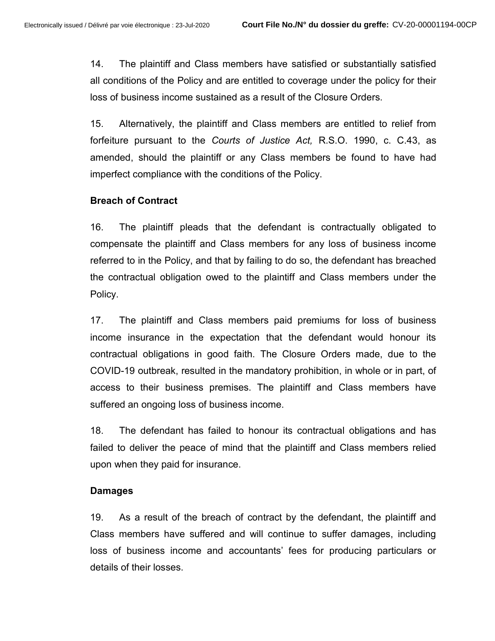14. The plaintiff and Class members have satisfied or substantially satisfied all conditions of the Policy and are entitled to coverage under the policy for their loss of business income sustained as a result of the Closure Orders.

15. Alternatively, the plaintiff and Class members are entitled to relief from forfeiture pursuant to the Courts of Justice Act, R.S.O. 1990, c. C.43, as amended, should the plaintiff or any Class members be found to have had imperfect compliance with the conditions of the Policy.

### Breach of Contract

16. The plaintiff pleads that the defendant is contractually obligated to compensate the plaintiff and Class members for any loss of business income referred to in the Policy, and that by failing to do so, the defendant has breached the contractual obligation owed to the plaintiff and Class members under the Policy.

17. The plaintiff and Class members paid premiums for loss of business income insurance in the expectation that the defendant would honour its contractual obligations in good faith. The Closure Orders made, due to the COVID-19 outbreak, resulted in the mandatory prohibition, in whole or in part, of access to their business premises. The plaintiff and Class members have suffered an ongoing loss of business income.

18. The defendant has failed to honour its contractual obligations and has failed to deliver the peace of mind that the plaintiff and Class members relied upon when they paid for insurance.

### Damages

19. As a result of the breach of contract by the defendant, the plaintiff and Class members have suffered and will continue to suffer damages, including loss of business income and accountants' fees for producing particulars or details of their losses.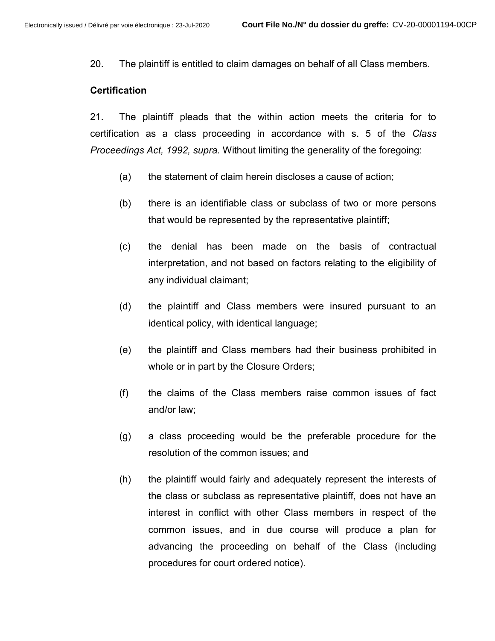20. The plaintiff is entitled to claim damages on behalf of all Class members.

#### **Certification**

21. The plaintiff pleads that the within action meets the criteria for to certification as a class proceeding in accordance with s. 5 of the Class Proceedings Act, 1992, supra. Without limiting the generality of the foregoing:

- (a) the statement of claim herein discloses a cause of action;
- (b) there is an identifiable class or subclass of two or more persons that would be represented by the representative plaintiff;
- (c) the denial has been made on the basis of contractual interpretation, and not based on factors relating to the eligibility of any individual claimant;
- (d) the plaintiff and Class members were insured pursuant to an identical policy, with identical language;
- (e) the plaintiff and Class members had their business prohibited in whole or in part by the Closure Orders;
- (f) the claims of the Class members raise common issues of fact and/or law;
- (g) a class proceeding would be the preferable procedure for the resolution of the common issues; and
- (h) the plaintiff would fairly and adequately represent the interests of the class or subclass as representative plaintiff, does not have an interest in conflict with other Class members in respect of the common issues, and in due course will produce a plan for advancing the proceeding on behalf of the Class (including procedures for court ordered notice).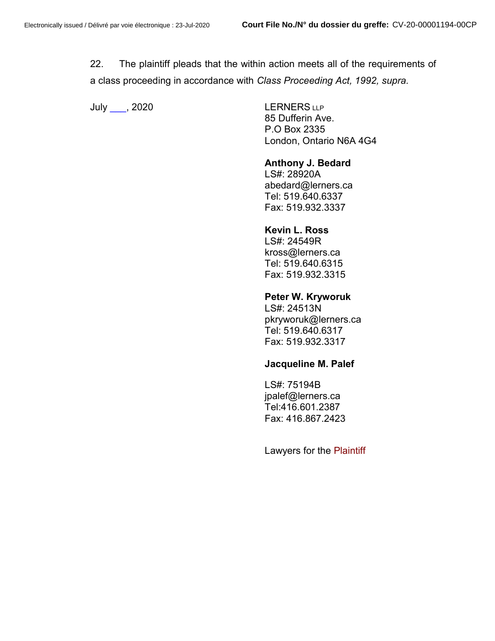22. The plaintiff pleads that the within action meets all of the requirements of a class proceeding in accordance with Class Proceeding Act, 1992, supra.

July , 2020 LERNERS LLP

85 Dufferin Ave. P.O Box 2335 London, Ontario N6A 4G4

#### Anthony J. Bedard

 LS#: 28920A abedard@lerners.ca Tel: 519.640.6337 Fax: 519.932.3337

#### Kevin L. Ross

LS#: 24549R kross@lerners.ca Tel: 519.640.6315 Fax: 519.932.3315

#### Peter W. Kryworuk

 LS#: 24513N pkryworuk@lerners.ca Tel: 519.640.6317 Fax: 519.932.3317

#### Jacqueline M. Palef

 LS#: 75194B jpalef@lerners.ca Tel:416.601.2387 Fax: 416.867.2423

Lawyers for the Plaintiff